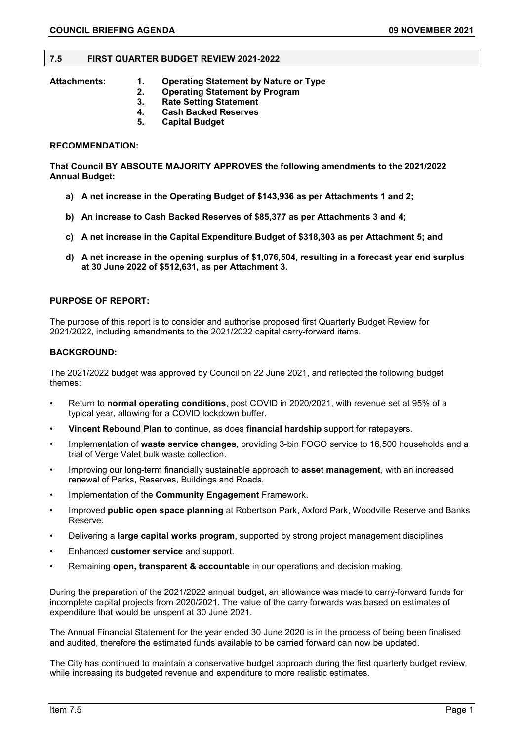#### **7.5 FIRST QUARTER BUDGET REVIEW 2021-2022**

- **Attachments: 1. Operating Statement by Nature or Type** 
	- **2. Operating Statement by Program**
	- **3. Rate Setting Statement**
	- **4. Cash Backed Reserves**
	- **5. Capital Budget**

## **RECOMMENDATION:**

**That Council BY ABSOUTE MAJORITY APPROVES the following amendments to the 2021/2022 Annual Budget:**

- **a) A net increase in the Operating Budget of \$143,936 as per Attachments 1 and 2;**
- **b) An increase to Cash Backed Reserves of \$85,377 as per Attachments 3 and 4;**
- **c) A net increase in the Capital Expenditure Budget of \$318,303 as per Attachment 5; and**
- **d) A net increase in the opening surplus of \$1,076,504, resulting in a forecast year end surplus at 30 June 2022 of \$512,631, as per Attachment 3.**

#### **PURPOSE OF REPORT:**

The purpose of this report is to consider and authorise proposed first Quarterly Budget Review for 2021/2022, including amendments to the 2021/2022 capital carry-forward items.

#### **BACKGROUND:**

The 2021/2022 budget was approved by Council on 22 June 2021, and reflected the following budget themes:

- Return to **normal operating conditions**, post COVID in 2020/2021, with revenue set at 95% of a typical year, allowing for a COVID lockdown buffer.
- **Vincent Rebound Plan to** continue, as does **financial hardship** support for ratepayers.
- Implementation of **waste service changes**, providing 3-bin FOGO service to 16,500 households and a trial of Verge Valet bulk waste collection.
- Improving our long-term financially sustainable approach to **asset management**, with an increased renewal of Parks, Reserves, Buildings and Roads.
- Implementation of the **Community Engagement** Framework.
- Improved **public open space planning** at Robertson Park, Axford Park, Woodville Reserve and Banks Reserve.
- Delivering a **large capital works program**, supported by strong project management disciplines
- Enhanced **customer service** and support.
- Remaining **open, transparent & accountable** in our operations and decision making.

During the preparation of the 2021/2022 annual budget, an allowance was made to carry-forward funds for incomplete capital projects from 2020/2021. The value of the carry forwards was based on estimates of expenditure that would be unspent at 30 June 2021.

The Annual Financial Statement for the year ended 30 June 2020 is in the process of being been finalised and audited, therefore the estimated funds available to be carried forward can now be updated.

The City has continued to maintain a conservative budget approach during the first quarterly budget review, while increasing its budgeted revenue and expenditure to more realistic estimates.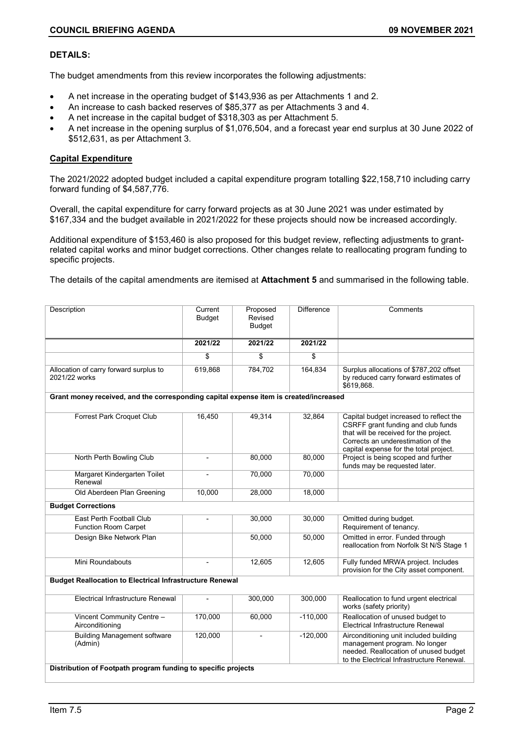## **DETAILS:**

The budget amendments from this review incorporates the following adjustments:

- A net increase in the operating budget of \$143,936 as per Attachments 1 and 2.
- An increase to cash backed reserves of \$85,377 as per Attachments 3 and 4.
- A net increase in the capital budget of \$318,303 as per Attachment 5.
- A net increase in the opening surplus of \$1,076,504, and a forecast year end surplus at 30 June 2022 of \$512,631, as per Attachment 3.

## **Capital Expenditure**

The 2021/2022 adopted budget included a capital expenditure program totalling \$22,158,710 including carry forward funding of \$4,587,776.

Overall, the capital expenditure for carry forward projects as at 30 June 2021 was under estimated by \$167,334 and the budget available in 2021/2022 for these projects should now be increased accordingly.

Additional expenditure of \$153,460 is also proposed for this budget review, reflecting adjustments to grantrelated capital works and minor budget corrections. Other changes relate to reallocating program funding to specific projects.

The details of the capital amendments are itemised at **Attachment 5** and summarised in the following table.

| Description                                                                           | Current<br>Budget        | Proposed<br>Revised<br><b>Budget</b> | <b>Difference</b> | Comments                                                                                                                                                                                                |  |  |  |
|---------------------------------------------------------------------------------------|--------------------------|--------------------------------------|-------------------|---------------------------------------------------------------------------------------------------------------------------------------------------------------------------------------------------------|--|--|--|
|                                                                                       | 2021/22                  | 2021/22                              | 2021/22           |                                                                                                                                                                                                         |  |  |  |
|                                                                                       | \$                       | \$                                   | \$                |                                                                                                                                                                                                         |  |  |  |
| Allocation of carry forward surplus to<br>2021/22 works                               | 619,868                  | 784,702                              | 164,834           | Surplus allocations of \$787,202 offset<br>by reduced carry forward estimates of<br>\$619.868.                                                                                                          |  |  |  |
| Grant money received, and the corresponding capital expense item is created/increased |                          |                                      |                   |                                                                                                                                                                                                         |  |  |  |
| Forrest Park Croquet Club                                                             | 16,450                   | 49,314                               | 32,864            | Capital budget increased to reflect the<br>CSRFF grant funding and club funds<br>that will be received for the project.<br>Corrects an underestimation of the<br>capital expense for the total project. |  |  |  |
| North Perth Bowling Club                                                              | $\overline{\phantom{a}}$ | 80,000                               | 80.000            | Project is being scoped and further<br>funds may be requested later.                                                                                                                                    |  |  |  |
| Margaret Kindergarten Toilet<br>Renewal                                               | L,                       | 70,000                               | 70,000            |                                                                                                                                                                                                         |  |  |  |
| Old Aberdeen Plan Greening                                                            | 10,000                   | 28,000                               | 18,000            |                                                                                                                                                                                                         |  |  |  |
| <b>Budget Corrections</b>                                                             |                          |                                      |                   |                                                                                                                                                                                                         |  |  |  |
| East Perth Football Club<br><b>Function Room Carpet</b>                               |                          | 30,000                               | 30,000            | Omitted during budget.<br>Requirement of tenancy.                                                                                                                                                       |  |  |  |
| Design Bike Network Plan                                                              |                          | 50,000                               | 50,000            | Omitted in error. Funded through<br>reallocation from Norfolk St N/S Stage 1                                                                                                                            |  |  |  |
| Mini Roundabouts                                                                      |                          | 12,605                               | 12,605            | Fully funded MRWA project. Includes<br>provision for the City asset component.                                                                                                                          |  |  |  |
| <b>Budget Reallocation to Electrical Infrastructure Renewal</b>                       |                          |                                      |                   |                                                                                                                                                                                                         |  |  |  |
| Electrical Infrastructure Renewal                                                     |                          | 300,000                              | 300,000           | Reallocation to fund urgent electrical<br>works (safety priority)                                                                                                                                       |  |  |  |
| Vincent Community Centre -<br>Airconditioning                                         | 170,000                  | 60,000                               | $-110,000$        | Reallocation of unused budget to<br>Electrical Infrastructure Renewal                                                                                                                                   |  |  |  |
| <b>Building Management software</b><br>(Admin)                                        | 120,000                  | $\blacksquare$                       | $-120,000$        | Airconditioning unit included building<br>management program. No longer<br>needed. Reallocation of unused budget<br>to the Electrical Infrastructure Renewal.                                           |  |  |  |
| Distribution of Footpath program funding to specific projects                         |                          |                                      |                   |                                                                                                                                                                                                         |  |  |  |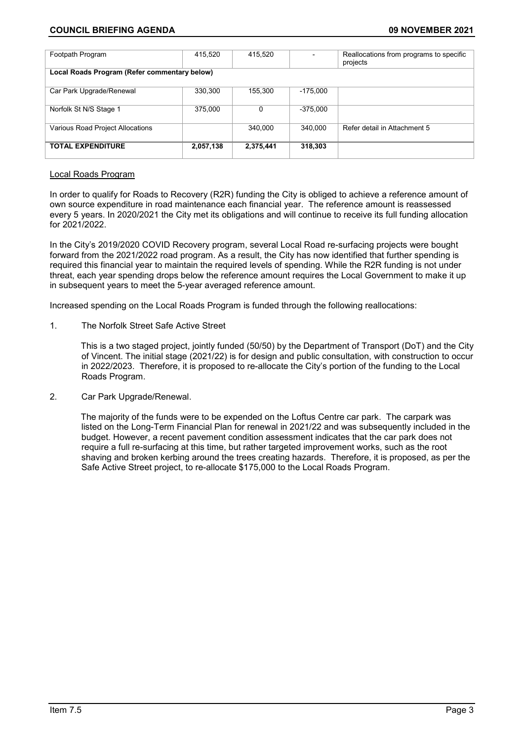# **COUNCIL BRIEFING AGENDA 09 NOVEMBER 2021**

| Footpath Program                             | 415,520   | 415,520   |            | Reallocations from programs to specific<br>projects |  |  |  |
|----------------------------------------------|-----------|-----------|------------|-----------------------------------------------------|--|--|--|
| Local Roads Program (Refer commentary below) |           |           |            |                                                     |  |  |  |
| Car Park Upgrade/Renewal                     | 330,300   | 155,300   | $-175.000$ |                                                     |  |  |  |
| Norfolk St N/S Stage 1                       | 375,000   | 0         | $-375.000$ |                                                     |  |  |  |
| Various Road Project Allocations             |           | 340.000   | 340.000    | Refer detail in Attachment 5                        |  |  |  |
| <b>TOTAL EXPENDITURE</b>                     | 2,057,138 | 2,375,441 | 318,303    |                                                     |  |  |  |

## Local Roads Program

In order to qualify for Roads to Recovery (R2R) funding the City is obliged to achieve a reference amount of own source expenditure in road maintenance each financial year. The reference amount is reassessed every 5 years. In 2020/2021 the City met its obligations and will continue to receive its full funding allocation for 2021/2022.

In the City's 2019/2020 COVID Recovery program, several Local Road re-surfacing projects were bought forward from the 2021/2022 road program. As a result, the City has now identified that further spending is required this financial year to maintain the required levels of spending. While the R2R funding is not under threat, each year spending drops below the reference amount requires the Local Government to make it up in subsequent years to meet the 5-year averaged reference amount.

Increased spending on the Local Roads Program is funded through the following reallocations:

1. The Norfolk Street Safe Active Street

This is a two staged project, jointly funded (50/50) by the Department of Transport (DoT) and the City of Vincent. The initial stage (2021/22) is for design and public consultation, with construction to occur in 2022/2023. Therefore, it is proposed to re-allocate the City's portion of the funding to the Local Roads Program.

2. Car Park Upgrade/Renewal.

The majority of the funds were to be expended on the Loftus Centre car park. The carpark was listed on the Long-Term Financial Plan for renewal in 2021/22 and was subsequently included in the budget. However, a recent pavement condition assessment indicates that the car park does not require a full re-surfacing at this time, but rather targeted improvement works, such as the root shaving and broken kerbing around the trees creating hazards. Therefore, it is proposed, as per the Safe Active Street project, to re-allocate \$175,000 to the Local Roads Program.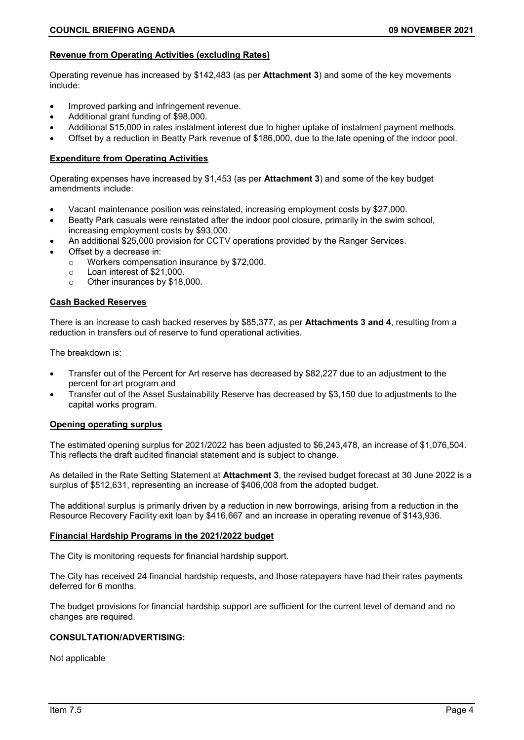## **Revenue from Operating Activities (excluding Rates)**

Operating revenue has increased by \$142,483 (as per **Attachment 3**) and some of the key movements include:

- Improved parking and infringement revenue.
- Additional grant funding of \$98,000.
- Additional \$15,000 in rates instalment interest due to higher uptake of instalment payment methods.
- Offset by a reduction in Beatty Park revenue of \$186,000, due to the late opening of the indoor pool.

## **Expenditure from Operating Activities**

Operating expenses have increased by \$1,453 (as per **Attachment 3**) and some of the key budget amendments include:

- Vacant maintenance position was reinstated, increasing employment costs by \$27,000.
- Beatty Park casuals were reinstated after the indoor pool closure, primarily in the swim school, increasing employment costs by \$93,000.
- An additional \$25,000 provision for CCTV operations provided by the Ranger Services.
- Offset by a decrease in:
	- $\circ$  Workers compensation insurance by \$72,000.<br> $\circ$  Loan interest of \$21,000
	- $\circ$  Loan interest of \$21,000.<br> $\circ$  Other insurances by \$18.
	- Other insurances by \$18,000.

## **Cash Backed Reserves**

There is an increase to cash backed reserves by \$85,377, as per **Attachments 3 and 4**, resulting from a reduction in transfers out of reserve to fund operational activities.

The breakdown is:

- Transfer out of the Percent for Art reserve has decreased by \$82,227 due to an adjustment to the percent for art program and
- Transfer out of the Asset Sustainability Reserve has decreased by \$3,150 due to adjustments to the capital works program.

### **Opening operating surplus**

The estimated opening surplus for 2021/2022 has been adjusted to \$6,243,478, an increase of \$1,076,504. This reflects the draft audited financial statement and is subject to change.

As detailed in the Rate Setting Statement at **Attachment 3**, the revised budget forecast at 30 June 2022 is a surplus of \$512,631, representing an increase of \$406,008 from the adopted budget.

The additional surplus is primarily driven by a reduction in new borrowings, arising from a reduction in the Resource Recovery Facility exit loan by \$416,667 and an increase in operating revenue of \$143,936.

#### **Financial Hardship Programs in the 2021/2022 budget**

The City is monitoring requests for financial hardship support.

The City has received 24 financial hardship requests, and those ratepayers have had their rates payments deferred for 6 months.

The budget provisions for financial hardship support are sufficient for the current level of demand and no changes are required.

#### **CONSULTATION/ADVERTISING:**

Not applicable